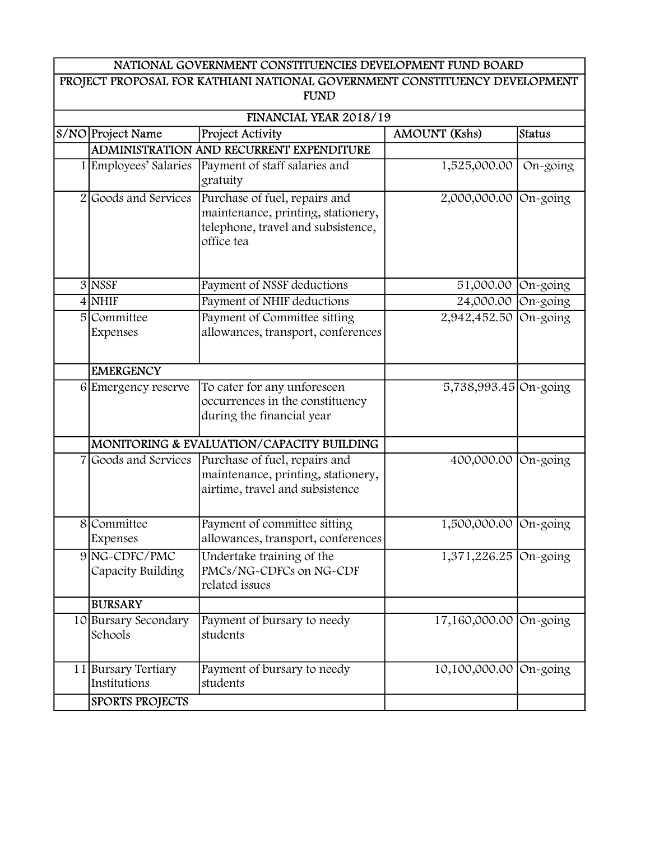| NATIONAL GOVERNMENT CONSTITUENCIES DEVELOPMENT FUND BOARD |
|-----------------------------------------------------------|
|-----------------------------------------------------------|

| PROJECT PROPOSAL FOR KATHIANI NATIONAL GOVERNMENT CONSTITUENCY DEVELOPMENT<br><b>FUND</b> |                                     |                                                                                                                         |                         |             |  |
|-------------------------------------------------------------------------------------------|-------------------------------------|-------------------------------------------------------------------------------------------------------------------------|-------------------------|-------------|--|
| FINANCIAL YEAR 2018/19                                                                    |                                     |                                                                                                                         |                         |             |  |
|                                                                                           | S/NO Project Name                   | Project Activity                                                                                                        | <b>AMOUNT</b> (Kshs)    | Status      |  |
|                                                                                           |                                     | ADMINISTRATION AND RECURRENT EXPENDITURE                                                                                |                         |             |  |
|                                                                                           | 1 Employees' Salaries               | Payment of staff salaries and<br>gratuity                                                                               | 1,525,000.00            | On-going    |  |
| $\overline{2}$                                                                            | Goods and Services                  | Purchase of fuel, repairs and<br>maintenance, printing, stationery,<br>telephone, travel and subsistence,<br>office tea | 2,000,000.00 On-going   |             |  |
|                                                                                           | $3$ NSSF                            | Payment of NSSF deductions                                                                                              | 51,000.00               | $On$ -going |  |
|                                                                                           | 4 NHIF                              | Payment of NHIF deductions                                                                                              | 24,000.00 On-going      |             |  |
| $\overline{5}$                                                                            | Committee<br>Expenses               | Payment of Committee sitting<br>allowances, transport, conferences                                                      | 2,942,452.50            | $On-going$  |  |
|                                                                                           | <b>EMERGENCY</b>                    |                                                                                                                         |                         |             |  |
|                                                                                           | 6 Emergency reserve                 | To cater for any unforeseen<br>occurrences in the constituency<br>during the financial year                             | 5,738,993.45 On-going   |             |  |
|                                                                                           |                                     | MONITORING & EVALUATION/CAPACITY BUILDING                                                                               |                         |             |  |
|                                                                                           | Goods and Services                  | Purchase of fuel, repairs and<br>maintenance, printing, stationery,<br>airtime, travel and subsistence                  | 400,000.00 On-going     |             |  |
| 8                                                                                         | Committee<br>Expenses               | Payment of committee sitting<br>allowances, transport, conferences                                                      | 1,500,000.00 On-going   |             |  |
|                                                                                           | 9 NG-CDFC/PMC<br>Capacity Building  | Undertake training of the<br>PMCs/NG-CDFCs on NG-CDF<br>related issues                                                  | 1,371,226.25 $On-going$ |             |  |
|                                                                                           | <b>BURSARY</b>                      |                                                                                                                         |                         |             |  |
|                                                                                           | 10 Bursary Secondary<br>Schools     | Payment of bursary to needy<br>students                                                                                 | 17,160,000.00 On-going  |             |  |
|                                                                                           | 11 Bursary Tertiary<br>Institutions | Payment of bursary to needy<br>students                                                                                 | 10,100,000.00 On-going  |             |  |
|                                                                                           | <b>SPORTS PROJECTS</b>              |                                                                                                                         |                         |             |  |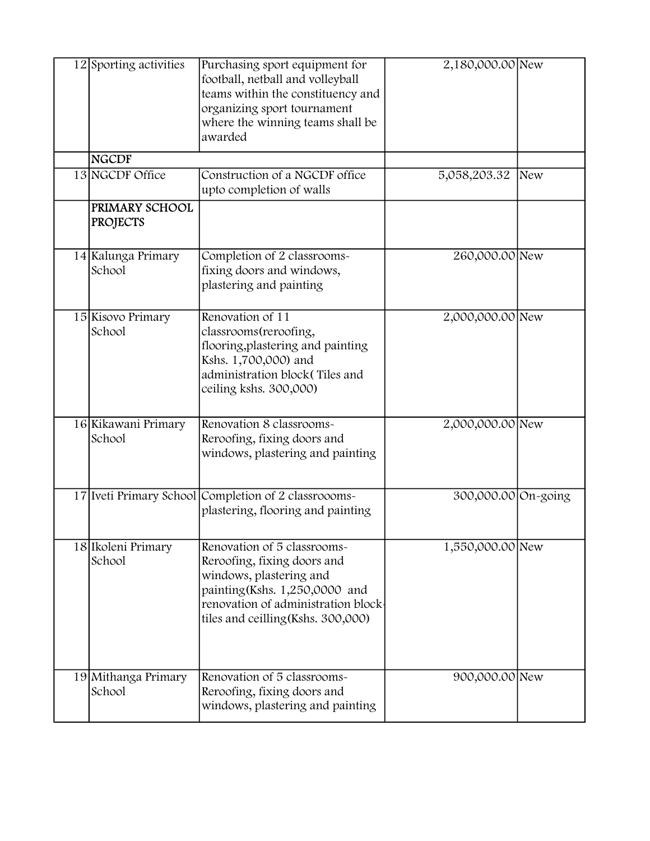| 12 Sporting activities            | Purchasing sport equipment for<br>football, netball and volleyball<br>teams within the constituency and<br>organizing sport tournament<br>where the winning teams shall be<br>awarded               | 2,180,000.00 New    |  |
|-----------------------------------|-----------------------------------------------------------------------------------------------------------------------------------------------------------------------------------------------------|---------------------|--|
| <b>NGCDF</b>                      |                                                                                                                                                                                                     |                     |  |
| 13 NGCDF Office                   | Construction of a NGCDF office<br>upto completion of walls                                                                                                                                          | 5,058,203.32 New    |  |
| PRIMARY SCHOOL<br><b>PROJECTS</b> |                                                                                                                                                                                                     |                     |  |
| 14 Kalunga Primary<br>School      | Completion of 2 classrooms-<br>fixing doors and windows,<br>plastering and painting                                                                                                                 | 260,000.00 New      |  |
| 15 Kisovo Primary<br>School       | Renovation of 11<br>classrooms(reroofing,<br>flooring, plastering and painting<br>Kshs. 1,700,000) and<br>administration block(Tiles and<br>ceiling kshs. 300,000)                                  | 2,000,000.00 New    |  |
| 16 Kikawani Primary<br>School     | Renovation 8 classrooms-<br>Reroofing, fixing doors and<br>windows, plastering and painting                                                                                                         | 2,000,000.00 New    |  |
|                                   | 17 Iveti Primary School Completion of 2 classroooms-<br>plastering, flooring and painting                                                                                                           | 300,000.00 On-going |  |
| 18 Ikoleni Primary<br>School      | Renovation of 5 classrooms-<br>Reroofing, fixing doors and<br>windows, plastering and<br>painting (Kshs. 1,250,0000 and<br>renovation of administration block<br>tiles and ceilling (Kshs. 300,000) | 1,550,000.00 New    |  |
| 19 Mithanga Primary<br>School     | Renovation of 5 classrooms-<br>Reroofing, fixing doors and<br>windows, plastering and painting                                                                                                      | 900,000.00 New      |  |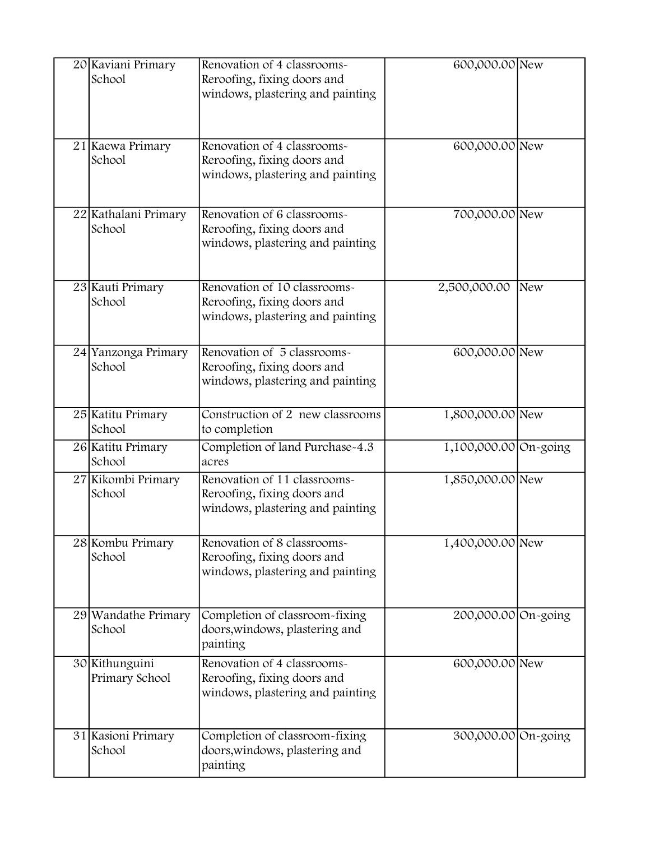| 20 Kaviani Primary<br>School     | Renovation of 4 classrooms-<br>Reroofing, fixing doors and<br>windows, plastering and painting  | 600,000.00 New        |     |
|----------------------------------|-------------------------------------------------------------------------------------------------|-----------------------|-----|
|                                  | Renovation of 4 classrooms-                                                                     |                       |     |
| 21 Kaewa Primary<br>School       | Reroofing, fixing doors and<br>windows, plastering and painting                                 | 600,000.00 New        |     |
| 22 Kathalani Primary<br>School   | Renovation of 6 classrooms-<br>Reroofing, fixing doors and<br>windows, plastering and painting  | 700,000.00 New        |     |
| 23 Kauti Primary<br>School       | Renovation of 10 classrooms-<br>Reroofing, fixing doors and<br>windows, plastering and painting | 2,500,000.00          | New |
| 24 Yanzonga Primary<br>School    | Renovation of 5 classrooms-<br>Reroofing, fixing doors and<br>windows, plastering and painting  | 600,000.00 New        |     |
| 25 Katitu Primary<br>School      | Construction of 2 new classrooms<br>to completion                                               | 1,800,000.00 New      |     |
| 26 Katitu Primary<br>School      | Completion of land Purchase-4.3<br>acres                                                        | 1,100,000.00 On-going |     |
| 27 Kikombi Primary<br>School     | Renovation of 11 classrooms-<br>Reroofing, fixing doors and<br>windows, plastering and painting | 1,850,000.00 New      |     |
| 28 Kombu Primary<br>School       | Renovation of 8 classrooms-<br>Reroofing, fixing doors and<br>windows, plastering and painting  | 1,400,000.00 New      |     |
| 29 Wandathe Primary<br>School    | Completion of classroom-fixing<br>doors, windows, plastering and<br>painting                    | 200,000.00 On-going   |     |
| 30 Kithunguini<br>Primary School | Renovation of 4 classrooms-<br>Reroofing, fixing doors and<br>windows, plastering and painting  | 600,000.00 New        |     |
| 31 Kasioni Primary<br>School     | Completion of classroom-fixing<br>doors, windows, plastering and<br>painting                    | 300,000.00 On-going   |     |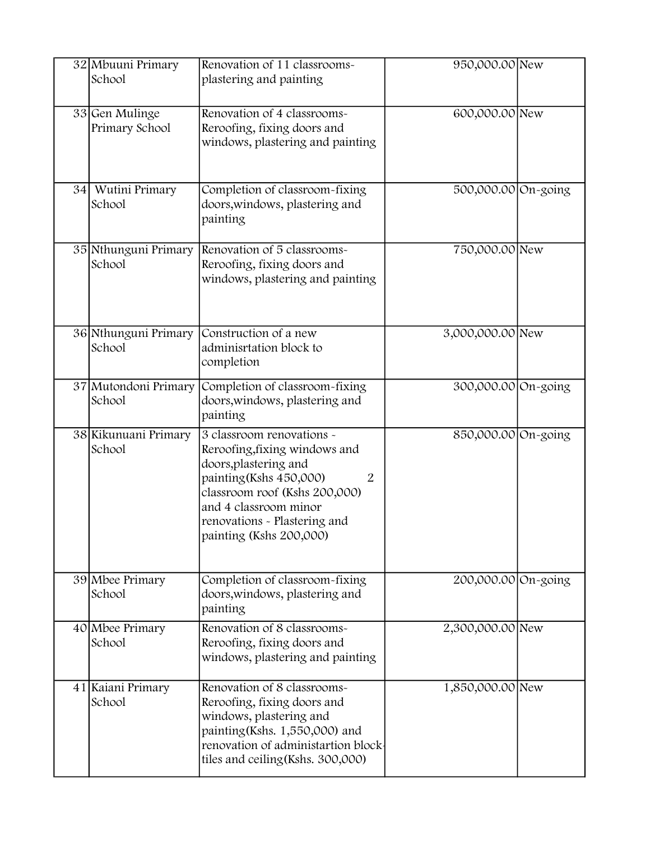|    | 32 Mbuuni Primary<br>School      | Renovation of 11 classrooms-<br>plastering and painting                                                                                                                                                                                               | 950,000.00 New      |  |
|----|----------------------------------|-------------------------------------------------------------------------------------------------------------------------------------------------------------------------------------------------------------------------------------------------------|---------------------|--|
|    | 33 Gen Mulinge<br>Primary School | Renovation of 4 classrooms-<br>Reroofing, fixing doors and<br>windows, plastering and painting                                                                                                                                                        | 600,000.00 New      |  |
| 34 | Wutini Primary<br>School         | Completion of classroom-fixing<br>doors, windows, plastering and<br>painting                                                                                                                                                                          | 500,000.00 On-going |  |
|    | 35 Nthunguni Primary<br>School   | Renovation of 5 classrooms-<br>Reroofing, fixing doors and<br>windows, plastering and painting                                                                                                                                                        | 750,000.00 New      |  |
|    | 36 Nthunguni Primary<br>School   | Construction of a new<br>adminisrtation block to<br>completion                                                                                                                                                                                        | 3,000,000.00 New    |  |
|    | 37 Mutondoni Primary<br>School   | Completion of classroom-fixing<br>doors, windows, plastering and<br>painting                                                                                                                                                                          | 300,000.00 On-going |  |
|    | 38 Kikunuani Primary<br>School   | 3 classroom renovations -<br>Reroofing, fixing windows and<br>doors, plastering and<br>painting (Kshs 450,000)<br>$\overline{2}$<br>classroom roof (Kshs 200,000)<br>and 4 classroom minor<br>renovations - Plastering and<br>painting (Kshs 200,000) | 850,000.00 On-going |  |
|    | 39 Mbee Primary<br>School        | Completion of classroom-fixing<br>doors, windows, plastering and<br>painting                                                                                                                                                                          | 200,000.00 On-going |  |
|    | 40 Mbee Primary<br>School        | Renovation of 8 classrooms-<br>Reroofing, fixing doors and<br>windows, plastering and painting                                                                                                                                                        | 2,300,000.00 New    |  |
|    | 41 Kaiani Primary<br>School      | Renovation of 8 classrooms-<br>Reroofing, fixing doors and<br>windows, plastering and<br>painting (Kshs. 1,550,000) and<br>renovation of administartion block-<br>tiles and ceiling (Kshs. 300,000)                                                   | 1,850,000.00 New    |  |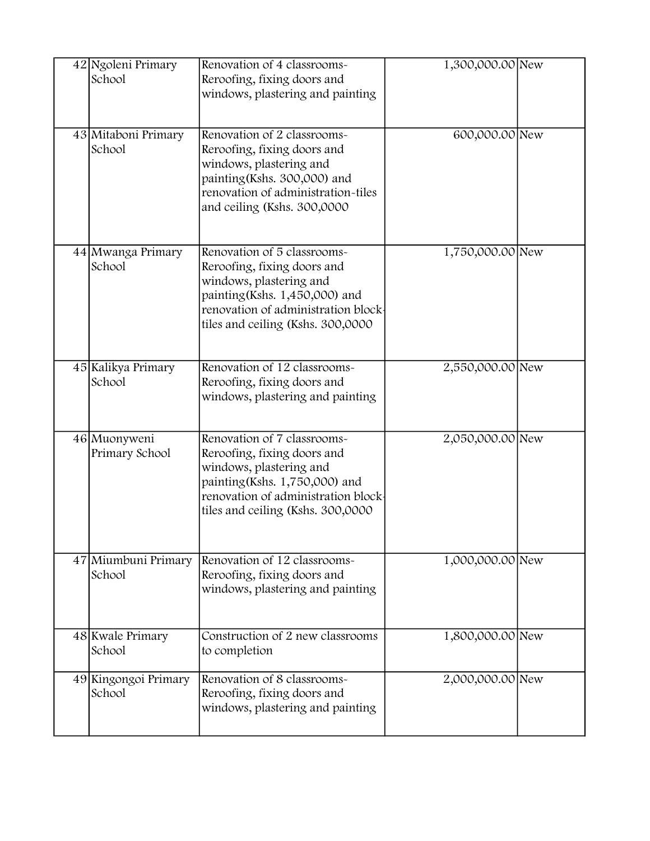| 42 Ngoleni Primary<br>School   | Renovation of 4 classrooms-<br>Reroofing, fixing doors and                                                                                                                                         | 1,300,000.00 New |  |
|--------------------------------|----------------------------------------------------------------------------------------------------------------------------------------------------------------------------------------------------|------------------|--|
|                                | windows, plastering and painting                                                                                                                                                                   |                  |  |
| 43 Mitaboni Primary<br>School  | Renovation of 2 classrooms-<br>Reroofing, fixing doors and<br>windows, plastering and<br>painting (Kshs. 300,000) and<br>renovation of administration-tiles<br>and ceiling (Kshs. 300,0000         | 600,000.00 New   |  |
| 44 Mwanga Primary<br>School    | Renovation of 5 classrooms-<br>Reroofing, fixing doors and<br>windows, plastering and<br>painting(Kshs. 1,450,000) and<br>renovation of administration block-<br>tiles and ceiling (Kshs. 300,0000 | 1,750,000.00 New |  |
| 45 Kalikya Primary<br>School   | Renovation of 12 classrooms-<br>Reroofing, fixing doors and<br>windows, plastering and painting                                                                                                    | 2,550,000.00 New |  |
| 46 Muonyweni<br>Primary School | Renovation of 7 classrooms-<br>Reroofing, fixing doors and<br>windows, plastering and<br>painting(Kshs. 1,750,000) and<br>renovation of administration block<br>tiles and ceiling (Kshs. 300,0000  | 2,050,000.00 New |  |
| 47 Miumbuni Primary<br>School  | Renovation of 12 classrooms-<br>Reroofing, fixing doors and<br>windows, plastering and painting                                                                                                    | 1,000,000.00 New |  |
| 48 Kwale Primary<br>School     | Construction of 2 new classrooms<br>to completion                                                                                                                                                  | 1,800,000.00 New |  |
| 49 Kingongoi Primary<br>School | Renovation of 8 classrooms-<br>Reroofing, fixing doors and<br>windows, plastering and painting                                                                                                     | 2,000,000.00 New |  |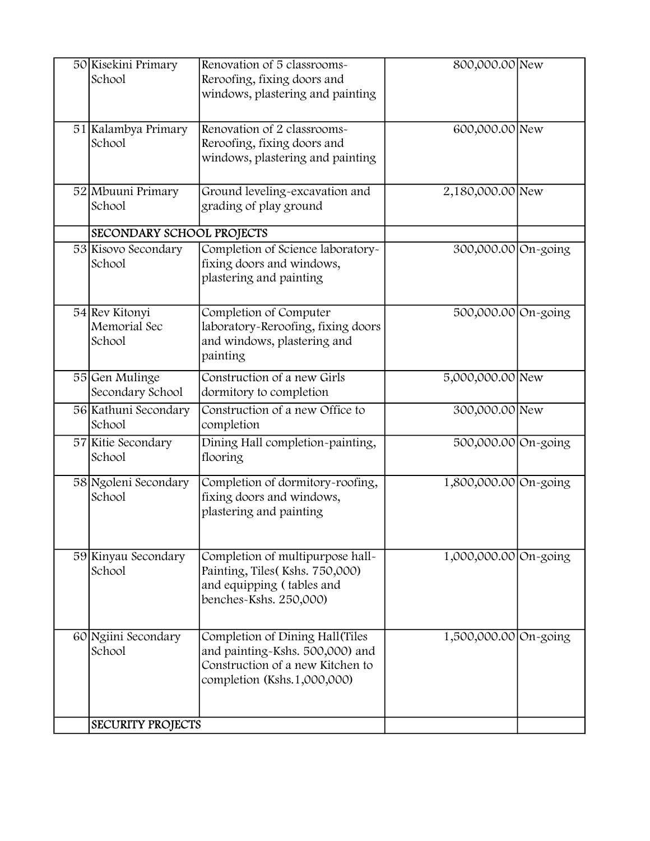| 50 Kisekini Primary<br>School            | Renovation of 5 classrooms-<br>Reroofing, fixing doors and<br>windows, plastering and painting                                         | 800,000.00 New        |  |
|------------------------------------------|----------------------------------------------------------------------------------------------------------------------------------------|-----------------------|--|
| 51 Kalambya Primary<br>School            | Renovation of 2 classrooms-<br>Reroofing, fixing doors and<br>windows, plastering and painting                                         | 600,000.00 New        |  |
| 52 Mbuuni Primary<br>School              | Ground leveling-excavation and<br>grading of play ground                                                                               | 2,180,000.00 New      |  |
| SECONDARY SCHOOL PROJECTS                |                                                                                                                                        |                       |  |
| 53 Kisovo Secondary<br>School            | Completion of Science laboratory-<br>fixing doors and windows,<br>plastering and painting                                              | 300,000.00 On-going   |  |
| 54 Rev Kitonyi<br>Memorial Sec<br>School | Completion of Computer<br>laboratory-Reroofing, fixing doors<br>and windows, plastering and<br>painting                                | 500,000.00 On-going   |  |
| 55 Gen Mulinge<br>Secondary School       | Construction of a new Girls<br>dormitory to completion                                                                                 | 5,000,000.00 New      |  |
| 56 Kathuni Secondary<br>School           | Construction of a new Office to<br>completion                                                                                          | 300,000.00 New        |  |
| 57 Kitie Secondary<br>School             | Dining Hall completion-painting,<br>flooring                                                                                           | 500,000.00 On-going   |  |
| 58 Ngoleni Secondary<br>School           | Completion of dormitory-roofing,<br>fixing doors and windows,<br>plastering and painting                                               | 1,800,000.00 On-going |  |
| 59 Kinyau Secondary<br>School            | Completion of multipurpose hall-<br>Painting, Tiles (Kshs. 750,000)<br>and equipping (tables and<br>benches-Kshs. 250,000)             | 1,000,000.00 On-going |  |
| 60 Ngiini Secondary<br>School            | Completion of Dining Hall (Tiles<br>and painting-Kshs. 500,000) and<br>Construction of a new Kitchen to<br>completion (Kshs.1,000,000) | 1,500,000.00 On-going |  |
| <b>SECURITY PROJECTS</b>                 |                                                                                                                                        |                       |  |